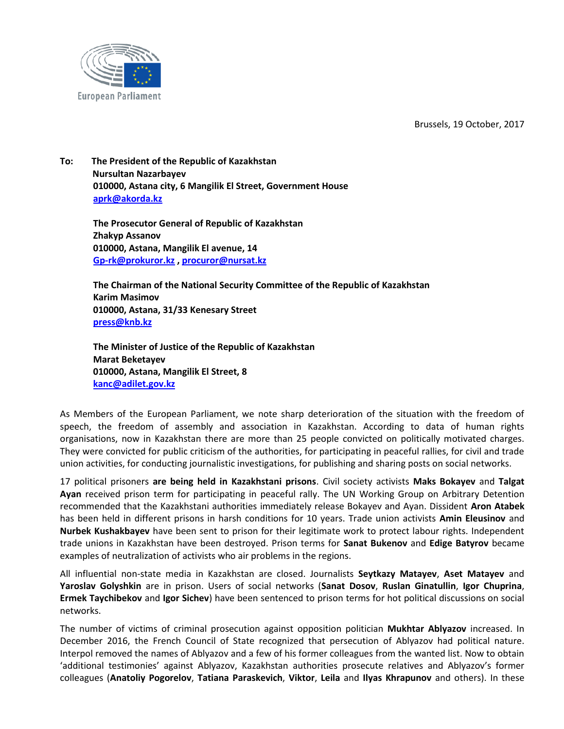Brussels, 19 October, 2017



**To: The President of the Republic of Kazakhstan Nursultan Nazarbayev 010000, Astana city, 6 Mangilik El Street, Government House [aprk@akorda.kz](mailto:aprk@akorda.kz)**

> **The Prosecutor General of Republic of Kazakhstan Zhakyp Assanov 010000, Astana, Mangilik El avenue, 14 [Gp-rk@prokuror.kz](mailto:Gp-rk@prokuror.kz) [, procuror@nursat.kz](mailto:procuror@nursat.kz)**

**The Chairman of the National Security Committee of the Republic of Kazakhstan Karim Masimov 010000, Astana, 31/33 Kenesary Street [press@knb.kz](mailto:press@knb.kz)**

**The Minister of Justice of the Republic of Kazakhstan Marat Beketayev 010000, Astana, Mangilik El Street, 8 [kanc@adilet.gov.kz](mailto:kanc@adilet.gov.kz)**

As Members of the European Parliament, we note sharp deterioration of the situation with the freedom of speech, the freedom of assembly and association in Kazakhstan. According to data of human rights organisations, now in Kazakhstan there are more than 25 people convicted on politically motivated charges. They were convicted for public criticism of the authorities, for participating in peaceful rallies, for civil and trade union activities, for conducting journalistic investigations, for publishing and sharing posts on social networks.

17 political prisoners **are being held in Kazakhstani prisons**. Civil society activists **Maks Bokayev** and **Talgat Ayan** received prison term for participating in peaceful rally. The UN Working Group on Arbitrary Detention recommended that the Kazakhstani authorities immediately release Bokayev and Ayan. Dissident **Aron Atabek** has been held in different prisons in harsh conditions for 10 years. Trade union activists **Amin Eleusinov** and **Nurbek Kushakbayev** have been sent to prison for their legitimate work to protect labour rights. Independent trade unions in Kazakhstan have been destroyed. Prison terms for **Sanat Bukenov** and **Edige Batyrov** became examples of neutralization of activists who air problems in the regions.

All influential non-state media in Kazakhstan are closed. Journalists **Seytkazy Matayev**, **Aset Matayev** and **Yaroslav Golyshkin** are in prison. Users of social networks (**Sanat Dosov**, **Ruslan Ginatullin**, **Igor Chuprina**, **Ermek Taychibekov** and **Igor Sichev**) have been sentenced to prison terms for hot political discussions on social networks.

The number of victims of criminal prosecution against opposition politician **Mukhtar Ablyazov** increased. In December 2016, the French Council of State recognized that persecution of Ablyazov had political nature. Interpol removed the names of Ablyazov and a few of his former colleagues from the wanted list. Now to obtain 'additional testimonies' against Ablyazov, Kazakhstan authorities prosecute relatives and Ablyazov's former colleagues (**Anatoliy Pogorelov**, **Tatiana Paraskevich**, **Viktor**, **Leila** and **Ilyas Khrapunov** and others). In these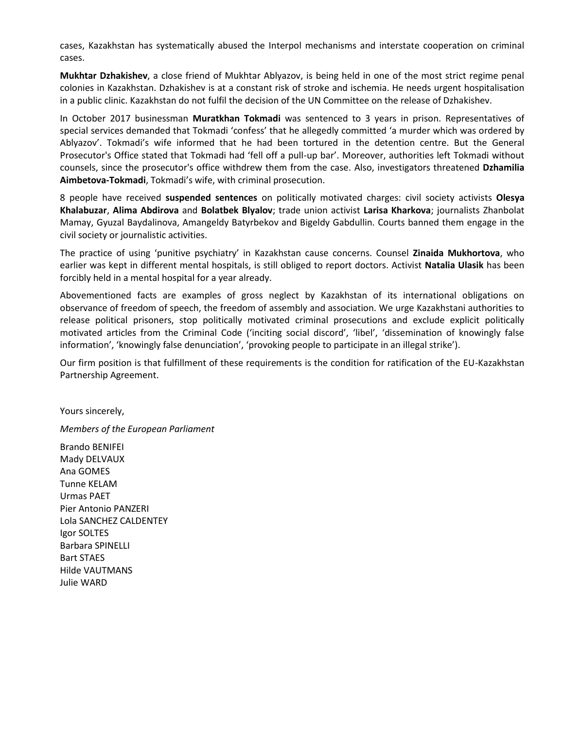cases, Kazakhstan has systematically abused the Interpol mechanisms and interstate cooperation on criminal cases.

**Мukhtar Dzhakishev**, a close friend of Mukhtar Ablyazov, is being held in one of the most strict regime penal colonies in Kazakhstan. Dzhakishev is at a constant risk of stroke and ischemia. He needs urgent hospitalisation in a public clinic. Kazakhstan do not fulfil the decision of the UN Committee on the release of Dzhakishev.

In October 2017 businessman **Мuratkhan Tokmadi** was sentenced to 3 years in prison. Representatives of special services demanded that Tokmadi 'confess' that he allegedly committed 'a murder which was ordered by Ablyazov'. Tokmadi's wife informed that he had been tortured in the detention centre. But the General Prosecutor's Office stated that Tokmadi had 'fell off a pull-up bar'. Moreover, authorities left Tokmadi without counsels, since the prosecutor's office withdrew them from the case. Also, investigators threatened **Dzhamilia Aimbetova-Tokmadi**, Tokmadi's wife, with criminal prosecution.

8 people have received **suspended sentences** on politically motivated charges: civil society activists **Olesya Khalabuzar**, **Alima Abdirova** and **Bolatbek Blyalov**; trade union activist **Larisa Kharkova**; journalists Zhanbolat Mamay, Gyuzal Baydalinova, Amangeldy Batyrbekov and Bigeldy Gabdullin. Courts banned them engage in the civil society or journalistic activities.

The practice of using 'punitive psychiatry' in Kazakhstan cause concerns. Counsel **Zinaida Mukhortova**, who earlier was kept in different mental hospitals, is still obliged to report doctors. Activist **Natalia Ulasik** has been forcibly held in a mental hospital for a year already.

Abovementioned facts are examples of gross neglect by Kazakhstan of its international obligations on observance of freedom of speech, the freedom of assembly and association. We urge Kazakhstani authorities to release political prisoners, stop politically motivated criminal prosecutions and exclude explicit politically motivated articles from the Criminal Code ('inciting social discord', 'libel', 'dissemination of knowingly false information', 'knowingly false denunciation', 'provoking people to participate in an illegal strike').

Our firm position is that fulfillment of these requirements is the condition for ratification of the EU-Kazakhstan Partnership Agreement.

Yours sincerely,

*Members of the European Parliament*

Brando BENIFEI Mady DELVAUX Ana GOMES Tunne KELAM Urmas PAET Pier Antonio PANZERI Lola SANCHEZ CALDENTEY Igor SOLTES Barbara SPINELLI Bart STAES Hilde VAUTMANS Julie WARD